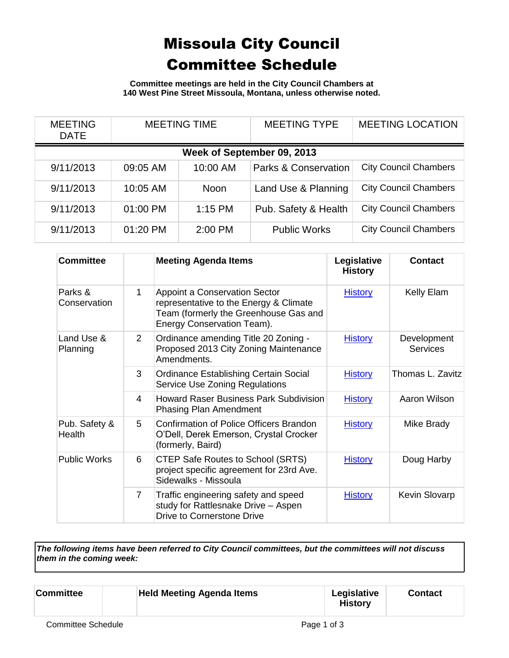## Missoula City Council Committee Schedule

**Committee meetings are held in the City Council Chambers at 140 West Pine Street Missoula, Montana, unless otherwise noted.**

| <b>MEETING</b><br><b>DATE</b> | <b>MEETING TIME</b> |             | <b>MEETING TYPE</b>             | <b>MEETING LOCATION</b>      |  |
|-------------------------------|---------------------|-------------|---------------------------------|------------------------------|--|
| Week of September 09, 2013    |                     |             |                                 |                              |  |
| 9/11/2013                     | 09:05 AM            | 10:00 AM    | <b>Parks &amp; Conservation</b> | <b>City Council Chambers</b> |  |
| 9/11/2013                     | 10:05 AM            | <b>Noon</b> | Land Use & Planning             | <b>City Council Chambers</b> |  |
| 9/11/2013                     | 01:00 PM            | $1:15$ PM   | Pub. Safety & Health            | <b>City Council Chambers</b> |  |
| 9/11/2013                     | 01:20 PM            | 2:00 PM     | <b>Public Works</b>             | <b>City Council Chambers</b> |  |

| <b>Committee</b>        |                | <b>Meeting Agenda Items</b>                                                                                                                           | Legislative<br><b>History</b> | <b>Contact</b>                 |
|-------------------------|----------------|-------------------------------------------------------------------------------------------------------------------------------------------------------|-------------------------------|--------------------------------|
| Parks &<br>Conservation | 1              | <b>Appoint a Conservation Sector</b><br>representative to the Energy & Climate<br>Team (formerly the Greenhouse Gas and<br>Energy Conservation Team). | <b>History</b>                | Kelly Elam                     |
| Land Use &<br>Planning  | 2              | Ordinance amending Title 20 Zoning -<br>Proposed 2013 City Zoning Maintenance<br>Amendments.                                                          | <b>History</b>                | Development<br><b>Services</b> |
|                         | 3              | Ordinance Establishing Certain Social<br>Service Use Zoning Regulations                                                                               | <b>History</b>                | Thomas L. Zavitz               |
|                         | 4              | <b>Howard Raser Business Park Subdivision</b><br><b>Phasing Plan Amendment</b>                                                                        | <b>History</b>                | Aaron Wilson                   |
| Pub. Safety &<br>Health | 5              | <b>Confirmation of Police Officers Brandon</b><br>O'Dell, Derek Emerson, Crystal Crocker<br>(formerly, Baird)                                         | <b>History</b>                | Mike Brady                     |
| <b>Public Works</b>     | 6              | CTEP Safe Routes to School (SRTS)<br>project specific agreement for 23rd Ave.<br>Sidewalks - Missoula                                                 | <b>History</b>                | Doug Harby                     |
|                         | $\overline{7}$ | Traffic engineering safety and speed<br>study for Rattlesnake Drive - Aspen<br>Drive to Cornerstone Drive                                             | <b>History</b>                | Kevin Slovarp                  |

*The following items have been referred to City Council committees, but the committees will not discuss them in the coming week:*

| <b>Held Meeting Agenda Items</b><br><b>Committee</b> | Legislative<br><b>History</b> | <b>Contact</b> |  |
|------------------------------------------------------|-------------------------------|----------------|--|
|------------------------------------------------------|-------------------------------|----------------|--|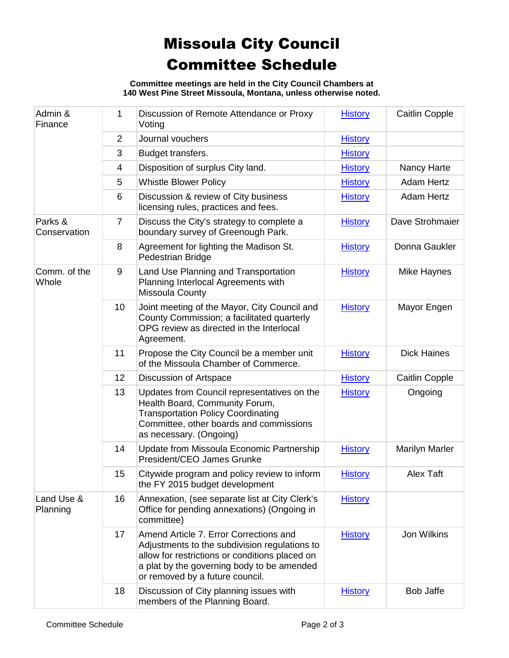## Missoula City Council Committee Schedule

**Committee meetings are held in the City Council Chambers at 140 West Pine Street Missoula, Montana, unless otherwise noted.**

| Admin &<br>Finance      | 1              | Discussion of Remote Attendance or Proxy<br>Voting                                                                                                                                                                         | <b>History</b> | Caitlin Copple        |
|-------------------------|----------------|----------------------------------------------------------------------------------------------------------------------------------------------------------------------------------------------------------------------------|----------------|-----------------------|
|                         | $\overline{2}$ | Journal vouchers                                                                                                                                                                                                           | <b>History</b> |                       |
|                         | 3              | Budget transfers.                                                                                                                                                                                                          | <b>History</b> |                       |
|                         | 4              | Disposition of surplus City land.                                                                                                                                                                                          | <b>History</b> | Nancy Harte           |
|                         | 5              | <b>Whistle Blower Policy</b>                                                                                                                                                                                               | <b>History</b> | <b>Adam Hertz</b>     |
|                         | 6              | Discussion & review of City business<br>licensing rules, practices and fees.                                                                                                                                               | <b>History</b> | <b>Adam Hertz</b>     |
| Parks &<br>Conservation | $\overline{7}$ | Discuss the City's strategy to complete a<br>boundary survey of Greenough Park.                                                                                                                                            | <b>History</b> | Dave Strohmaier       |
|                         | 8              | Agreement for lighting the Madison St.<br>Pedestrian Bridge                                                                                                                                                                | <b>History</b> | Donna Gaukler         |
| Comm. of the<br>Whole   | 9              | Land Use Planning and Transportation<br>Planning Interlocal Agreements with<br>Missoula County                                                                                                                             | <b>History</b> | Mike Haynes           |
|                         | 10             | Joint meeting of the Mayor, City Council and<br>County Commission; a facilitated quarterly<br>OPG review as directed in the Interlocal<br>Agreement.                                                                       | <b>History</b> | Mayor Engen           |
|                         | 11             | Propose the City Council be a member unit<br>of the Missoula Chamber of Commerce.                                                                                                                                          | <b>History</b> | <b>Dick Haines</b>    |
|                         | 12             | Discussion of Artspace                                                                                                                                                                                                     | <b>History</b> | Caitlin Copple        |
|                         | 13             | Updates from Council representatives on the<br>Health Board, Community Forum,<br><b>Transportation Policy Coordinating</b><br>Committee, other boards and commissions<br>as necessary. (Ongoing)                           | <b>History</b> | Ongoing               |
|                         | 14             | Update from Missoula Economic Partnership<br>President/CEO James Grunke                                                                                                                                                    | <b>History</b> | <b>Marilyn Marler</b> |
|                         | 15             | Citywide program and policy review to inform<br>the FY 2015 budget development                                                                                                                                             | <b>History</b> | <b>Alex Taft</b>      |
| Land Use &<br>Planning  | 16             | Annexation, (see separate list at City Clerk's<br>Office for pending annexations) (Ongoing in<br>committee)                                                                                                                | <b>History</b> |                       |
|                         | 17             | Amend Article 7. Error Corrections and<br>Adjustments to the subdivision regulations to<br>allow for restrictions or conditions placed on<br>a plat by the governing body to be amended<br>or removed by a future council. | <b>History</b> | Jon Wilkins           |
|                         | 18             | Discussion of City planning issues with<br>members of the Planning Board.                                                                                                                                                  | <b>History</b> | <b>Bob Jaffe</b>      |